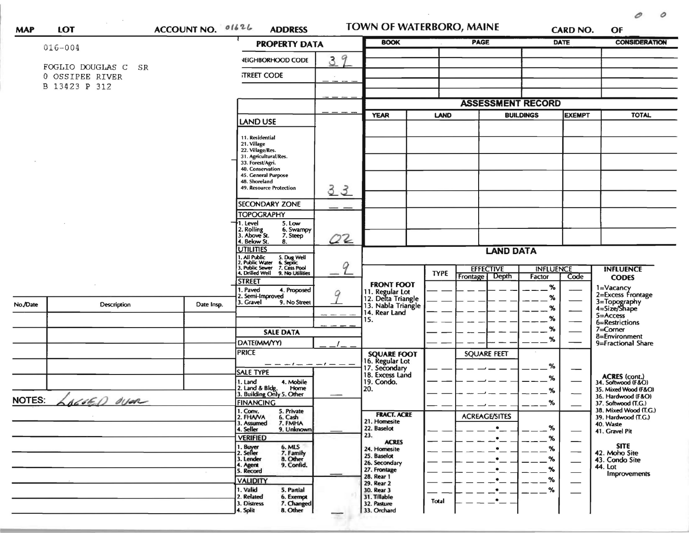|               |                                  |            | ACCOUNT NO. 01626<br><b>PROPERTY DATA</b>                                                                                                                                                                                                                                                                                                                                                                                                                                                            |               | <b>BOOK</b>                                                 |                                 | <b>PAGE</b>                                               |                            | <b>CARD NO.</b><br><b>DATE</b> | OF<br><b>CONSIDERATION</b>                   |  |
|---------------|----------------------------------|------------|------------------------------------------------------------------------------------------------------------------------------------------------------------------------------------------------------------------------------------------------------------------------------------------------------------------------------------------------------------------------------------------------------------------------------------------------------------------------------------------------------|---------------|-------------------------------------------------------------|---------------------------------|-----------------------------------------------------------|----------------------------|--------------------------------|----------------------------------------------|--|
|               | $016 - 004$                      |            |                                                                                                                                                                                                                                                                                                                                                                                                                                                                                                      |               |                                                             |                                 |                                                           |                            |                                |                                              |  |
|               | FOGLIO DOUGLAS C<br>SR           |            | <b><i>VEIGHBORHOOD CODE</i></b>                                                                                                                                                                                                                                                                                                                                                                                                                                                                      | 39            |                                                             |                                 |                                                           |                            |                                |                                              |  |
|               | 0 OSSIPEE RIVER<br>B 13423 P 312 |            | <b>TREET CODE</b>                                                                                                                                                                                                                                                                                                                                                                                                                                                                                    |               |                                                             |                                 |                                                           |                            |                                |                                              |  |
|               |                                  |            |                                                                                                                                                                                                                                                                                                                                                                                                                                                                                                      |               |                                                             |                                 |                                                           |                            |                                |                                              |  |
|               |                                  |            |                                                                                                                                                                                                                                                                                                                                                                                                                                                                                                      |               |                                                             |                                 |                                                           | <b>ASSESSMENT RECORD</b>   |                                |                                              |  |
|               |                                  |            | <b>LAND USE</b>                                                                                                                                                                                                                                                                                                                                                                                                                                                                                      |               | <b>YEAR</b>                                                 | <b>BUILDINGS</b><br><b>LAND</b> |                                                           | <b>EXEMPT</b>              |                                | <b>TOTAL</b>                                 |  |
|               |                                  |            | 11. Residential<br>21. Village<br>22. Village/Res.<br>31. Agricultural/Res.<br>33. Forest/Agri.<br>40. Conservation<br>45. General Purpose<br>48. Shoreland<br><b>49. Resource Protection</b><br>SECONDARY ZONE<br><b>TOPOGRAPHY</b><br>5. Low<br>1. Level<br>2. Rolling<br>3. Above St.<br>6. Swampy<br>7. Steep<br>4. Below St.<br>8.<br><b>UTILITIES</b><br>1. All Public<br>2. Public Water<br>3. Public Sewer<br>4. Drilled Well<br>5. Dug Well<br>6. Septic<br>7. Cess Pool<br>9. No Utilities | 33<br>02<br>9 |                                                             | <b>TYPE</b>                     | <b>LAND DATA</b><br><b>EFFECTIVE</b><br>Depth<br>Frontage | <b>INFLUENCE</b><br>Factor | Code                           | <b>INFLUENCE</b><br><b>CODES</b>             |  |
|               |                                  |            | <b>STREET</b><br>Paved                                                                                                                                                                                                                                                                                                                                                                                                                                                                               |               | <b>FRONT FOOT</b>                                           |                                 |                                                           | $\%$                       |                                | 1=Vacancy                                    |  |
|               |                                  |            | 4. Proposed<br>Semi-Improved<br>3. Gravel                                                                                                                                                                                                                                                                                                                                                                                                                                                            | 9             | 11. Regular Lot<br>12. Delta Triangle<br>13. Nabla Triangle |                                 |                                                           | %                          |                                | 2=Excess Frontage                            |  |
| No./Date      | <b>Description</b>               | Date Insp. | 9. No Street                                                                                                                                                                                                                                                                                                                                                                                                                                                                                         |               | 14. Rear Land                                               |                                 |                                                           | %                          |                                | 3=Topography<br>4=Size/Shape                 |  |
|               |                                  |            |                                                                                                                                                                                                                                                                                                                                                                                                                                                                                                      |               | 15.                                                         |                                 |                                                           | %                          |                                | 5=Access<br>6=Restrictions                   |  |
|               |                                  |            | <b>SALE DATA</b>                                                                                                                                                                                                                                                                                                                                                                                                                                                                                     |               |                                                             |                                 |                                                           | %                          |                                | $7 =$ Corner<br>8=Environment                |  |
|               |                                  |            | DATE(MM/YY)                                                                                                                                                                                                                                                                                                                                                                                                                                                                                          |               |                                                             |                                 |                                                           | %                          |                                | 9=Fractional Share                           |  |
|               |                                  |            | <b>PRICE</b>                                                                                                                                                                                                                                                                                                                                                                                                                                                                                         |               | <b>SQUARE FOOT</b>                                          |                                 | <b>SQUARE FEET</b>                                        |                            |                                |                                              |  |
|               |                                  |            | <b>SALE TYPE</b>                                                                                                                                                                                                                                                                                                                                                                                                                                                                                     |               | 16. Regular Lot<br>17. Secondary<br>18. Excess Land         |                                 |                                                           | %                          |                                |                                              |  |
|               |                                  |            | 4. Mobile<br>1. Land                                                                                                                                                                                                                                                                                                                                                                                                                                                                                 |               | 19. Condo.                                                  |                                 |                                                           | %                          |                                | <b>ACRES</b> (cont.)<br>34. Softwood (F&O)   |  |
|               |                                  |            | 2. Land & Bldg. Home<br>3. Building Only 5. Other<br>Home                                                                                                                                                                                                                                                                                                                                                                                                                                            |               | 20.                                                         |                                 |                                                           | %                          |                                | 35. Mixed Wood (F&O)<br>36. Hardwood (F&O)   |  |
| <b>NOTES:</b> | $AC460$ dyar                     |            | <b>FINANCING</b>                                                                                                                                                                                                                                                                                                                                                                                                                                                                                     |               |                                                             |                                 |                                                           | $\%$                       |                                | 37. Softwood (T.G.)                          |  |
|               |                                  |            | 1. Conv.<br>5. Private<br>6. Cash<br>2. FHANA                                                                                                                                                                                                                                                                                                                                                                                                                                                        |               | <b>FRACT. ACRE</b>                                          |                                 | <b>ACREAGE/SITES</b>                                      |                            |                                | 38. Mixed Wood (T.G.)<br>39. Hardwood (T.G.) |  |
|               |                                  |            | 7. FMHA<br>3. Assumed<br>4. Seller<br>9. Unknown                                                                                                                                                                                                                                                                                                                                                                                                                                                     |               | 21. Homesite<br>22. Baselot                                 |                                 | $\bullet$                                                 | $\%$                       |                                | 40. Waste                                    |  |
|               |                                  |            | <b>VERIFIED</b>                                                                                                                                                                                                                                                                                                                                                                                                                                                                                      |               | 23.                                                         |                                 | $\bullet$                                                 | %                          |                                | 41. Gravel Pit                               |  |
|               |                                  |            | 1. Buyer<br>6. MLS                                                                                                                                                                                                                                                                                                                                                                                                                                                                                   |               | <b>ACRES</b><br>24. Homesite                                |                                 | $\bullet$                                                 | %                          |                                | <b>SITE</b>                                  |  |
|               |                                  |            | 2. Seller<br>7. Family<br>8. Other<br>3. Lender                                                                                                                                                                                                                                                                                                                                                                                                                                                      |               | 25. Baselot                                                 |                                 | $\bullet$                                                 | %                          |                                | 42. Moho Site<br>43. Condo Site              |  |
|               |                                  |            | 9. Confid.<br>4. Agent<br>5. Record                                                                                                                                                                                                                                                                                                                                                                                                                                                                  |               | 26. Secondary<br>27. Frontage                               |                                 | $\bullet$                                                 | %                          |                                | 44. Lot                                      |  |
|               |                                  |            | <b>VALIDITY</b>                                                                                                                                                                                                                                                                                                                                                                                                                                                                                      |               | 28. Rear 1<br>29. Rear 2                                    |                                 | ٠                                                         | %                          |                                | Improvements                                 |  |
|               |                                  |            | 1. Valid<br>5. Partial                                                                                                                                                                                                                                                                                                                                                                                                                                                                               |               | 30. Rear 3                                                  |                                 | $\bullet$                                                 | $\%$                       |                                |                                              |  |
|               |                                  |            | 2. Related<br>6. Exempt<br>3. Distress<br>7. Changed                                                                                                                                                                                                                                                                                                                                                                                                                                                 |               | 31. Tillable<br>32. Pasture                                 | <b>Total</b>                    | $\bullet$ .                                               |                            |                                |                                              |  |
|               |                                  |            |                                                                                                                                                                                                                                                                                                                                                                                                                                                                                                      | 33. Orchard   |                                                             |                                 |                                                           |                            |                                |                                              |  |

 $\mathcal{L}^{\text{max}}_{\text{max}}$  .

 $\mathcal O$ 

 $\circ$